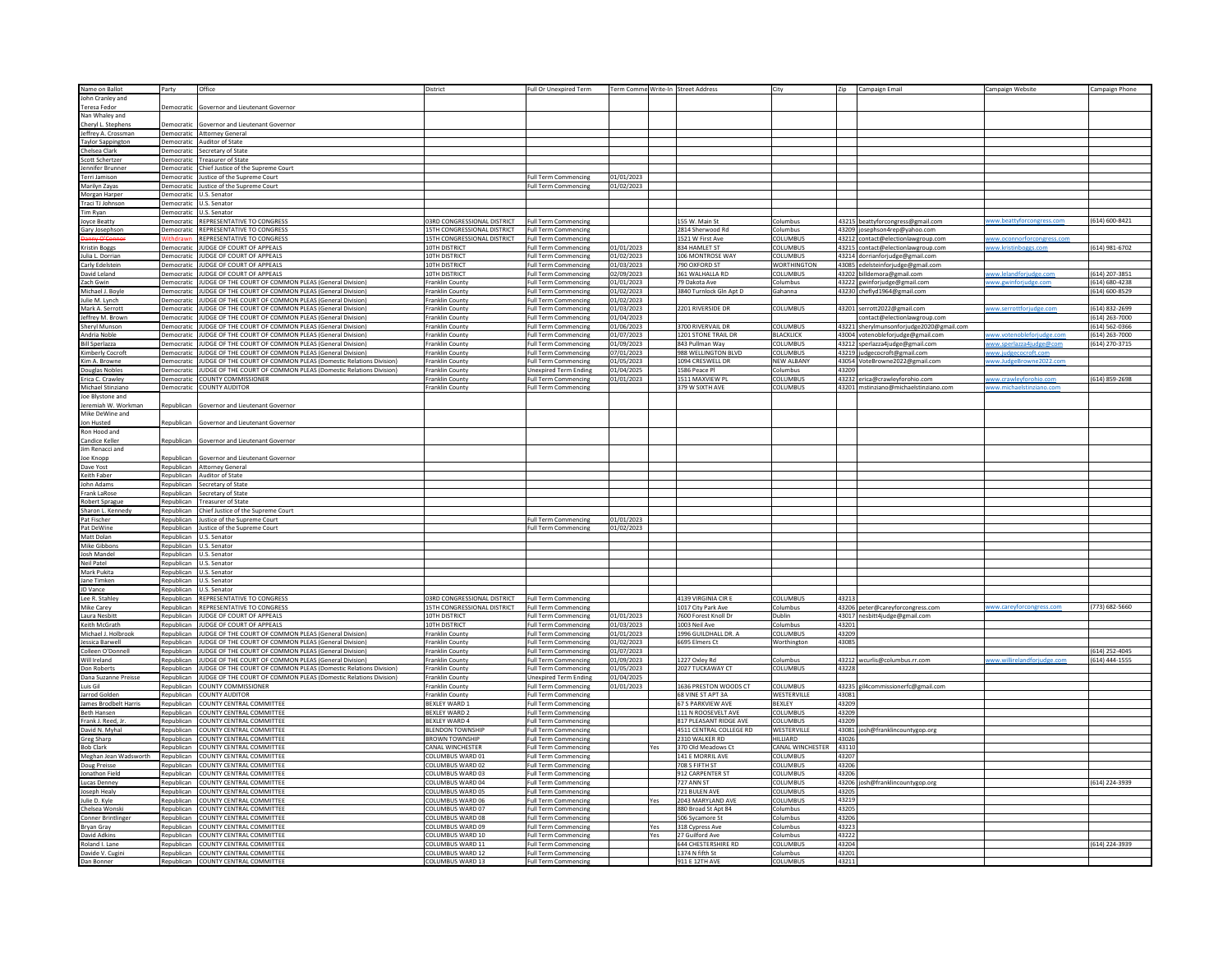| Name on Ballot                 | Party                    | Office                                                           | District                    | Full Or Unexpired Term                       |                          |     | Term Comme Write-In Street Address |                        | Zip   | Campaign Email                           | Campaign Website           | Campaign Phone |
|--------------------------------|--------------------------|------------------------------------------------------------------|-----------------------------|----------------------------------------------|--------------------------|-----|------------------------------------|------------------------|-------|------------------------------------------|----------------------------|----------------|
| John Cranley and               |                          |                                                                  |                             |                                              |                          |     |                                    |                        |       |                                          |                            |                |
| <b>Teresa Fedor</b>            | Democratic               | Governor and Lieutenant Governor                                 |                             |                                              |                          |     |                                    |                        |       |                                          |                            |                |
| Nan Whaley and                 |                          |                                                                  |                             |                                              |                          |     |                                    |                        |       |                                          |                            |                |
| Cheryl L. Stephens             | Democratic               | Governor and Lieutenant Governor                                 |                             |                                              |                          |     |                                    |                        |       |                                          |                            |                |
| Jeffrey A. Crossman            | Democratic               | <b>Attorney General</b>                                          |                             |                                              |                          |     |                                    |                        |       |                                          |                            |                |
| <b>Taylor Sappington</b>       |                          | Democratic Auditor of State                                      |                             |                                              |                          |     |                                    |                        |       |                                          |                            |                |
| Chelsea Clark                  |                          | Democratic Secretary of State                                    |                             |                                              |                          |     |                                    |                        |       |                                          |                            |                |
| Scott Schertzer                | Democratic               | <b>Treasurer of State</b>                                        |                             |                                              |                          |     |                                    |                        |       |                                          |                            |                |
| Jennifer Brunne                | Democratic               | Chief Justice of the Supreme Court                               |                             |                                              |                          |     |                                    |                        |       |                                          |                            |                |
|                                |                          |                                                                  |                             |                                              |                          |     |                                    |                        |       |                                          |                            |                |
| Terri Jamison<br>Marilyn Zayas | Democratic<br>Democratic | Justice of the Supreme Court<br>Justice of the Supreme Court     |                             | Full Term Commencing<br>Full Term Commencing | 01/01/2023<br>01/02/2023 |     |                                    |                        |       |                                          |                            |                |
| Morgan Harper                  |                          | U.S. Senator                                                     |                             |                                              |                          |     |                                    |                        |       |                                          |                            |                |
| Traci TJ Johnsor               | Democratic<br>Democratic | U.S. Senator                                                     |                             |                                              |                          |     |                                    |                        |       |                                          |                            |                |
|                                |                          |                                                                  |                             |                                              |                          |     |                                    |                        |       |                                          |                            |                |
| im Ryan                        | Democratic               | .S. Senator                                                      |                             |                                              |                          |     |                                    |                        |       |                                          | w.beattyforcongress.com    |                |
| Joyce Beatty                   | Democratic               | REPRESENTATIVE TO CONGRESS                                       | 03RD CONGRESSIONAL DISTRICT | <b>Full Term Commencing</b>                  |                          |     | 155 W. Main St                     | Columbus               |       | 43215 beattyforcongress@gmail.com        |                            | (614) 600-8421 |
| Gary Josephson                 | Democratic               | <b>REPRESENTATIVE TO CONGRESS</b>                                | 15TH CONGRESSIONAL DISTRICT | <b>Full Term Commencing</b>                  |                          |     | 2814 Sherwood Rd                   | Columbus               |       | 43209 josephson4rep@yahoo.com            |                            |                |
|                                |                          | REPRESENTATIVE TO CONGRESS                                       | 15TH CONGRESSIONAL DISTRICT | <b>Full Term Commencing</b>                  |                          |     | 1521 W First Ave                   | COLUMBUS               |       | 43212 contact@electionlawgroup.com       | ww.oconnorforcongress.com  |                |
| <b>Kristin Boggs</b>           | Democratic               | JUDGE OF COURT OF APPEALS                                        | 10TH DISTRICT               | Full Term Commencing                         | 01/01/2023               |     | 834 HAMLET ST                      | COLUMBUS               |       | 43215 contact@electionlawgroup.com       | ww.kristinhoggs.com        | (614) 981-6702 |
| Julia L. Dorrian               | Democratic               | JUDGE OF COURT OF APPEALS                                        | 10TH DISTRICT               | Full Term Commencing                         | 01/02/2023               |     | 106 MONTROSE WAY                   | <b>COLUMBUS</b>        |       | 43214 dorrianforjudge@gmail.com          |                            |                |
| Carly Edelsteir                | Democratic               | JUDGE OF COURT OF APPEALS                                        | 10TH DISTRICT               | ull Term Commencing                          | 01/03/2023               |     | 790 OXFORD ST                      | <b>WORTHINGTON</b>     |       | 43085 edelsteinforjudge@gmail.com        |                            |                |
| David Leland                   | Democratic               | JUDGE OF COURT OF APPEALS                                        | 10TH DISTRICT               | Full Term Commencing                         | 02/09/2023               |     | 361 WALHALLA RD                    | COLUMBUS               |       | 43202 billdemora@gmail.com               | www.lelandforiudge.con     | (614) 207-3851 |
| Zach Gwin                      | Democratic               | JUDGE OF THE COURT OF COMMON PLEAS (General Division)            | Franklin County             | Full Term Commencing                         | 01/01/2023               |     | 79 Dakota Ave                      | Columbus               |       | 43222 gwinforjudge@gmail.com             | ww.gwinforjudge.com        | (614) 680-4238 |
| Michael J. Boyl                | Democratic               | UDGE OF THE COURT OF COMMON PLEAS (General Division              | Franklin County             | ull Term Commencing                          | 01/02/2023               |     | 3840 Turnlock Gln Apt D            | Gahanna                |       | 43230 cheflyd1964@gmail.com              |                            | (614) 600-8529 |
| Julie M. Lynch                 | Democratic               | JUDGE OF THE COURT OF COMMON PLEAS (General Division)            | Franklin County             | <b>Full Term Commencing</b>                  | 01/02/2023               |     |                                    |                        |       |                                          |                            |                |
| Mark A. Serrott                | Democratic               | JUDGE OF THE COURT OF COMMON PLEAS (General Division)            | Franklin County             | <b>Full Term Commencing</b>                  | 01/03/2023               |     | 2201 RIVERSIDE DR                  | COLUMBUS               |       | 43201 serrott2022@gmail.com              | ww.serrottforjudge.com     | (614) 832-2699 |
| Jeffrey M. Brown               | Democratic               | UDGE OF THE COURT OF COMMON PLEAS (General Division)             | Franklin County             | ull Term Commencing                          | 01/04/2023               |     |                                    |                        |       | contact@electionlawgroup.com             |                            | 614) 263-7000  |
| Sheryl Munson                  | Democratic               | JUDGE OF THE COURT OF COMMON PLEAS (General Division)            | Franklin County             | <b>Full Term Commencing</b>                  | 01/06/2023               |     | 3700 RIVERVAIL DR                  | COLUMBUS               |       | 43221 sherylmunsonforjudge2020@gmail.com |                            | (614) 562-0366 |
| Andria Noble                   | Democratic               | JUDGE OF THE COURT OF COMMON PLEAS (General Division)            | Franklin County             | Full Term Commencing                         | 01/07/2023               |     | 1201 STONE TRAIL DR                | <b>BLACKLICK</b>       |       | 43004 votenobleforjudge@gmail.com        | ww.votenobleforjudge.com   | (614) 263-7000 |
| <b>Bill Sperlazza</b>          | Democratic               | JDGE OF THE COURT OF COMMON PLEAS (General Division)             | Franklin County             | ull Term Commencing                          | 01/09/2023               |     | 843 Pullman Way                    | COLUMBUS               |       | 43212 sperlazza4judge@gmail.com          |                            | (614) 270-3715 |
| <b>Kimberly Cocroft</b>        | Democratic               | JUDGE OF THE COURT OF COMMON PLEAS (General Division)            | <b>Franklin County</b>      | <b>Full Term Commencing</b>                  | 07/01/2023               |     | 988 WELLINGTON BLVD                | COLUMBUS               |       | 43219 judgecocroft@gmail.com             |                            |                |
| Kim A. Browne                  | Democratio               | UDGE OF THE COURT OF COMMON PLEAS (Domestic Relations Division)  | Franklin County             | Full Term Commencing                         | 01/05/2023               |     | 1094 CRESWELL DR                   | <b>NEW ALBANY</b>      |       | 43054 VoteBrowne2022@gmail.com           | ww.JudgeBrowne2022.co      |                |
|                                |                          |                                                                  |                             |                                              |                          |     |                                    |                        | 43209 |                                          |                            |                |
| Douglas Nobles                 | Democratic               | JDGE OF THE COURT OF COMMON PLEAS (Domestic Relations Division)  | Franklin County             | <b>Jnexpired Term Ending</b>                 | 01/04/2025               |     | 1586 Peace Pl                      | Columbus               |       |                                          |                            |                |
| Erica C. Crawley               | Democratic               | COUNTY COMMISSIONER                                              | Franklin County             | Full Term Commencing                         | 01/01/2023               |     | 1511 MAXVIEW PI                    | COLUMBUS               |       | 43232 erica@crawleyforohio.com           | ww.crawleyforohio.com      | (614) 859-2698 |
| Michael Stinziano              | Democratic               | COUNTY AUDITOR                                                   | Franklin County             | <b>Full Term Commencing</b>                  |                          |     | 379 W SIXTH AVE                    | COLUMBUS               |       | 43201 mstinziano@michaelstinziano.com    |                            |                |
| Joe Blystone and               |                          |                                                                  |                             |                                              |                          |     |                                    |                        |       |                                          |                            |                |
| Jeremiah W. Workman            | Republican               | Sovernor and Lieutenant Governo                                  |                             |                                              |                          |     |                                    |                        |       |                                          |                            |                |
| Mike DeWine and                |                          |                                                                  |                             |                                              |                          |     |                                    |                        |       |                                          |                            |                |
| Jon Husted                     | Republican               | Governor and Lieutenant Governor                                 |                             |                                              |                          |     |                                    |                        |       |                                          |                            |                |
| Ron Hood and                   |                          |                                                                  |                             |                                              |                          |     |                                    |                        |       |                                          |                            |                |
| Candice Keller                 | Republican               | Governor and Lieutenant Governor                                 |                             |                                              |                          |     |                                    |                        |       |                                          |                            |                |
| Jim Renacci and                |                          |                                                                  |                             |                                              |                          |     |                                    |                        |       |                                          |                            |                |
| Joe Knopp                      | <b>Republican</b>        | overnor and Lieutenant Governo                                   |                             |                                              |                          |     |                                    |                        |       |                                          |                            |                |
| Dave Yost                      | Republican               | <b>Attorney General</b>                                          |                             |                                              |                          |     |                                    |                        |       |                                          |                            |                |
| Keith Faber                    |                          | Republican Auditor of State                                      |                             |                                              |                          |     |                                    |                        |       |                                          |                            |                |
| John Adams                     | Republican               | Secretary of State                                               |                             |                                              |                          |     |                                    |                        |       |                                          |                            |                |
| Frank LaRose                   | Republican               |                                                                  |                             |                                              |                          |     |                                    |                        |       |                                          |                            |                |
|                                |                          | Secretary of State                                               |                             |                                              |                          |     |                                    |                        |       |                                          |                            |                |
| Robert Sprague                 |                          | Republican Treasurer of State                                    |                             |                                              |                          |     |                                    |                        |       |                                          |                            |                |
| Sharon L. Kenned               | Republican               | Chief Justice of the Supreme Court                               |                             |                                              |                          |     |                                    |                        |       |                                          |                            |                |
| Pat Fischer                    | Republican               | Justice of the Supreme Court                                     |                             | <b>Full Term Commencing</b>                  | 01/01/2023               |     |                                    |                        |       |                                          |                            |                |
| Pat DeWine                     | Republican               | Justice of the Supreme Court                                     |                             | <b>Full Term Commencing</b>                  | 01/02/2023               |     |                                    |                        |       |                                          |                            |                |
| Matt Dolan                     | Republican               | U.S. Senato                                                      |                             |                                              |                          |     |                                    |                        |       |                                          |                            |                |
| Mike Gibbon:                   | Republican               | U.S. Senator                                                     |                             |                                              |                          |     |                                    |                        |       |                                          |                            |                |
| Josh Mandel                    | Republican               | J.S. Senator                                                     |                             |                                              |                          |     |                                    |                        |       |                                          |                            |                |
| <b>Neil Patel</b>              | Republican               | <b>J.S. Senator</b>                                              |                             |                                              |                          |     |                                    |                        |       |                                          |                            |                |
| Mark Pukita                    | Republican               | U.S. Senator                                                     |                             |                                              |                          |     |                                    |                        |       |                                          |                            |                |
| Jane Timken                    | Republican               | U.S. Senator                                                     |                             |                                              |                          |     |                                    |                        |       |                                          |                            |                |
| JD Vance                       | Republican               | J.S. Senator                                                     |                             |                                              |                          |     |                                    |                        |       |                                          |                            |                |
| Lee R. Stahley                 | Republican               | REPRESENTATIVE TO CONGRESS                                       | 03RD CONGRESSIONAL DISTRICT | <b>Full Term Commencing</b>                  |                          |     | 4139 VIRGINIA CIR E                | COLUMBUS               | 4321  |                                          |                            |                |
| Mike Carey                     | Republican               | REPRESENTATIVE TO CONGRESS                                       | 15TH CONGRESSIONAL DISTRICT | <b>Full Term Commencing</b>                  |                          |     | 1017 City Park Ave                 | Columbus               |       | 43206 peter@careyforcongress.com         | www.carevforcongress.com   | (773) 682-5660 |
| Laura Nesbitt                  | Republican               | UDGE OF COURT OF APPEALS                                         | 10TH DISTRICT               | ull Term Commencing                          | 01/01/2023               |     | 7600 Forest Knoll Dr               | Dublin                 |       | 43017 nesbitt4judge@gmail.com            |                            |                |
|                                |                          | JUDGE OF COURT OF APPEALS                                        | 10TH DISTRICT               |                                              |                          |     | 1003 Neil Ave                      |                        | 43201 |                                          |                            |                |
| Keith McGrath                  | Republican               |                                                                  |                             | Full Term Commencing                         | 01/03/2023               |     |                                    | Columbus<br>COLUMBUS   | 43209 |                                          |                            |                |
| Michael J. Holbrook            | Republican               | IUDGE OF THE COURT OF COMMON PLEAS (General Division)            | <b>Franklin County</b>      | Full Term Commencing                         | 01/01/2023               |     | 1996 GUILDHALL DR. A               |                        |       |                                          |                            |                |
| Jessica Barwel                 | Republican               | UDGE OF THE COURT OF COMMON PLEAS (General Division)             | Franklin County             | Full Term Commencing                         | 01/02/2023               |     | 6695 Elmers Ct                     | Worthington            | 43085 |                                          |                            |                |
| C<br>olleen O'Don              | Republican               | IUDGE OF THE COURT OF COMMON PLEAS (General Division)            | <b>Franklin County</b>      | <b>Full Term Commencing</b>                  | 01/07/2023               |     |                                    |                        |       |                                          |                            | (614) 252-4045 |
| Will Ireland                   | Republican               | UDGE OF THE COURT OF COMMON PLEAS (General Division)             | Franklin County             | Full Term Commencing                         | 01/09/2023               |     | 1227 Oxley Rd                      | Columbus               |       | 43212 wcurlis@columbus.rr.com            | ww.willirelandforiudge.com | (614) 444-1555 |
| Don Roberts                    | Republican               | IUDGE OF THE COURT OF COMMON PLEAS (Domestic Relations Division) | Franklin County             | Full Term Commencing                         | 01/05/2023               |     | 2027 TUCKAWAY CT                   | COLUMBUS               | 43228 |                                          |                            |                |
| Dana Suzanne Preisse           | Republican               | UDGE OF THE COURT OF COMMON PLEAS (Domestic Relations Division)  | Franklin County             | <b>Inexpired Term Ending</b>                 | 01/04/2025               |     |                                    |                        |       |                                          |                            |                |
| Luis Gil                       | Republican               | <b>COUNTY COMMISSIONER</b>                                       | Franklin County             | Full Term Commencing                         | 01/01/2023               |     | 1636 PRESTON WOODS CT              | COLUMBUS               |       | 43235 gil4commissionerfc@gmail.com       |                            |                |
| Jarrod Golder                  | Republican               | COUNTY AUDITOR                                                   | Franklin County             | Full Term Commencing                         |                          |     | 68 VINE ST APT 3A                  | <b>WESTERVILLE</b>     | 43081 |                                          |                            |                |
| James Brodbelt Harris          | Republicar               | OUNTY CENTRAL COMMITTEE                                          | <b>BEXLEY WARD 1</b>        | Full Term Commencing                         |                          |     | 67 S PARKVIEW AVE                  | BEXLEY                 | 43209 |                                          |                            |                |
| <b>Beth Hansen</b>             | Republican               | OUNTY CENTRAL COMMITTEE                                          | <b>BEXLEY WARD 2</b>        | <b>Full Term Commencing</b>                  |                          |     | 111 N ROOSEVELT AVE                | COLUMBUS               | 43209 |                                          |                            |                |
| Frank J. Reed. Jr.             | Republican               | COUNTY CENTRAL COMMITTEE                                         | <b>REXI EY WARD 4</b>       | Full Term Commencing                         |                          |     | 817 PLEASANT RIDGE AVE             | COLUMBUS               | 43209 |                                          |                            |                |
| avid N. Myhal                  | Republicar               | OUNTY CENTRAL COMMITTEE                                          | <b>BLENDON TOWNSHIP</b>     | ull Term Commencing                          |                          |     | 4511 CENTRAL COLLEGE RD            | WESTERVILLE            |       | 43081 josh@franklincountygop.org         |                            |                |
|                                | Republican               | COUNTY CENTRAL COMMITTEE                                         | <b>BROWN TOWNSHIP</b>       | Full Term Commencing                         |                          |     | 2310 WALKER RD                     | HILLIARD               | 43026 |                                          |                            |                |
| Greg Sharp<br>Bob Clark        | Republican               | COUNTY CENTRAL COMMITTEE                                         | <b>CANAL WINCHESTER</b>     | Full Term Commencing                         |                          | Yes | 370 Old Meadows Ct                 | CANAL WINCHESTER 43110 |       |                                          |                            |                |
|                                | Republican               | OUNTY CENTRAL COMMITTEE                                          | COLUMBUS WARD 01            | ull Term Commencing                          |                          |     | 141 E MORRIL AVE                   | COLUMBUS               | 43207 |                                          |                            |                |
| Meghan Jean Wadsworth          | Republican               | COUNTY CENTRAL COMMITTEE                                         | COLUMBUS WARD 02            | <b>Full Term Commencing</b>                  |                          |     | 708 S FIFTH ST                     | COLUMBUS               | 43206 |                                          |                            |                |
| Doug Preisse                   |                          |                                                                  |                             |                                              |                          |     |                                    |                        |       |                                          |                            |                |
| Jonathon Field                 | Republican               | COUNTY CENTRAL COMMITTEE                                         | COLUMBUS WARD 03            | <b>Full Term Commencing</b>                  |                          |     | 912 CARPENTER ST                   | COLUMBUS               | 43206 |                                          |                            |                |
| Lucas Denney                   | Republican               | OUNTY CENTRAL COMMITTEE                                          | COLUMBUS WARD 04            | Full Term Commencing                         |                          |     | 727 ANN ST                         | COLUMBUS               |       | 43206 josh@franklincountygop.org         |                            | (614) 224-3939 |
| Joseph Healy                   | Republican               | COUNTY CENTRAL COMMITTEE                                         | COLUMBUS WARD 05            | Full Term Commencing                         |                          |     | 721 BULEN AVE                      | COLUMBUS               | 43205 |                                          |                            |                |
| Julie D. Kyle                  | Republican               | COUNTY CENTRAL COMMITTEE                                         | COLUMBUS WARD 06            | <b>Full Term Commencing</b>                  |                          | Yes | 2043 MARYLAND AVE                  | COLUMBUS               | 43219 |                                          |                            |                |
| Chelsea Wonsk                  | Republican               | COUNTY CENTRAL COMMITTEE                                         | COLUMBUS WARD 07            | Full Term Commencing                         |                          |     | 880 Broad St Apt 84                | Columbus               | 43205 |                                          |                            |                |
| <b>Conner Brintlinge</b>       | Republican               | COUNTY CENTRAL COMMITTEE                                         | COLUMBUS WARD 08            | <b>Full Term Commencing</b>                  |                          |     | 506 Sycamore St                    | Columbus               | 43206 |                                          |                            |                |
| Bryan Gray                     | Republican               | OUNTY CENTRAL COMMITTEE                                          | OLUMBUS WARD 09             | Full Term Commencing                         |                          | Yes | 318 Cypress Ave                    | Columbus               | 43223 |                                          |                            |                |
| David Adkins                   | Republican               | OUNTY CENTRAL COMMITTEE                                          | OLUMBUS WARD 10             | ull Term Commencing                          |                          | Yes | 27 Guilford Ave                    | columbus               | 43222 |                                          |                            |                |
| Roland I. Lane                 | Republican               | <b>COUNTY CENTRAL COMMITTEE</b>                                  | COLUMBUS WARD 11            | <b>Full Term Commencing</b>                  |                          |     | <b>644 CHESTERSHIRE RD</b>         | COLUMBUS               | 43204 |                                          |                            | (614) 224-3939 |
| Davide V. Cugini               | Republican               | COUNTY CENTRAL COMMITTEE                                         | COLUMBUS WARD 12            | <b>Full Term Commencing</b>                  |                          |     | 1374 N fifth St                    | Columbus               | 43201 |                                          |                            |                |
| Dan Bonne                      |                          | <b>OUNTY CENTRAL COMMITTEE</b>                                   |                             | ull Term Cor                                 |                          |     | 911 F 12TH AV                      | <b>OLUMBU</b>          | 43211 |                                          |                            |                |
|                                |                          |                                                                  |                             |                                              |                          |     |                                    |                        |       |                                          |                            |                |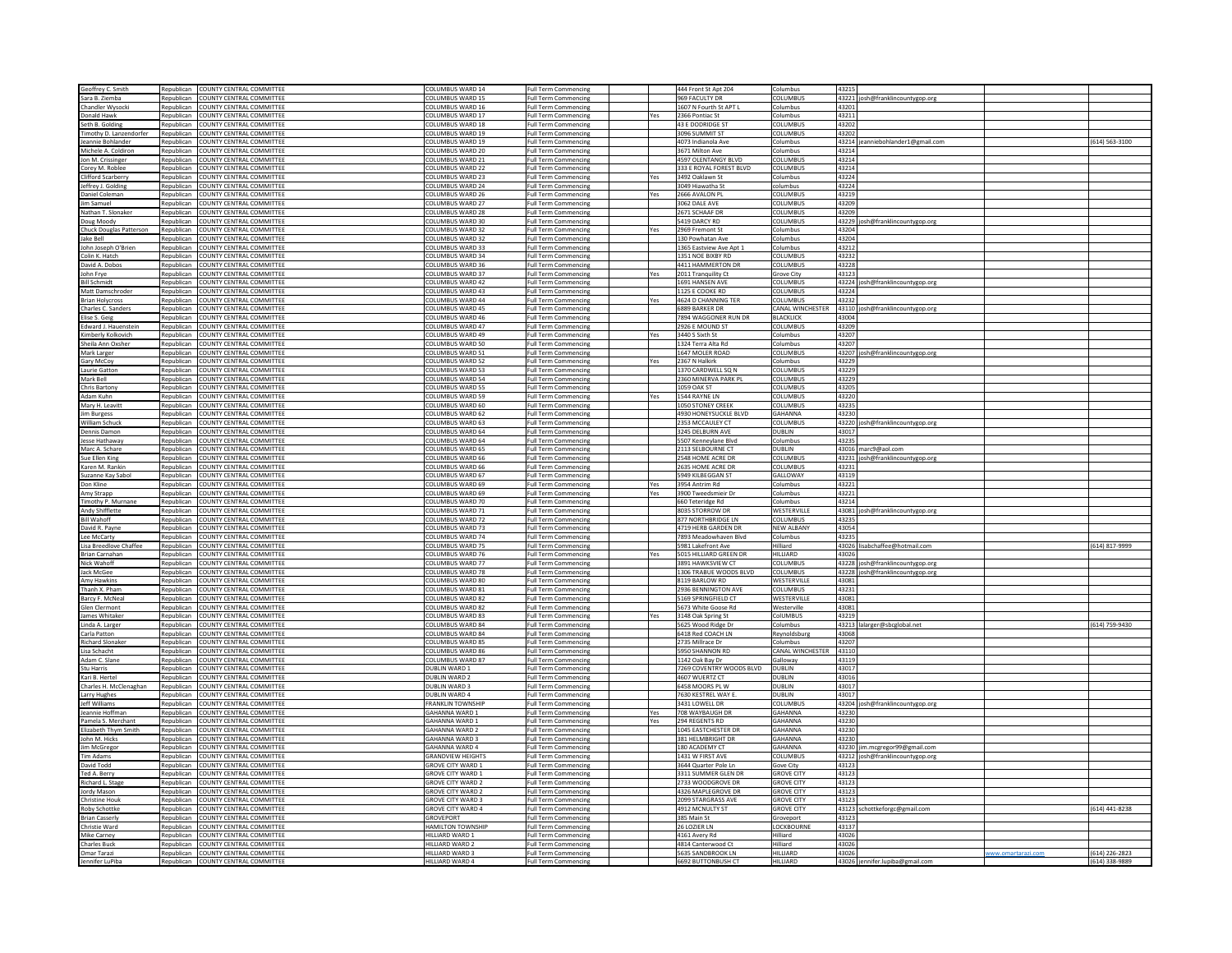| Geoffrey C. Smith         |            | Republican COUNTY CENTRAL COMMITTEI | COLUMBUS WARD 14         | <b>Full Term Commencing</b> |     | 444 Front St Apt 204     | Columbus                                          |                                   |                    |                |
|---------------------------|------------|-------------------------------------|--------------------------|-----------------------------|-----|--------------------------|---------------------------------------------------|-----------------------------------|--------------------|----------------|
| Sara B. Ziemba            |            | Republican COUNTY CENTRAL COMMITTEE | COLUMBUS WARD 15         | <b>Full Term Commencing</b> |     | 969 FACULTY DR           | COLUMBUS                                          | 43221 josh@franklincountygop.org  |                    |                |
|                           |            |                                     |                          |                             |     |                          |                                                   |                                   |                    |                |
| Chandler Wysock           |            | Republican COUNTY CENTRAL COMMITTEE | COLUMBUS WARD 16         | Full Term Commencing        |     | 1607 N Fourth St APT L   | 43201<br>Columbus                                 |                                   |                    |                |
| Donald Hawk               |            | Republican COUNTY CENTRAL COMMITTEE | COLUMBUS WARD 17         | <b>Full Term Commencing</b> | Yes | 2366 Pontiac St          | Columbus<br>43211                                 |                                   |                    |                |
| Seth B. Goldin            |            | Republican COUNTY CENTRAL COMMITTEE | COLUMBUS WARD 18         | <b>Full Term Commencing</b> |     | 43 E DODRIDGE ST         | COLUMBUS<br>43202                                 |                                   |                    |                |
| imothy D. Lanzendorfer    | Republican | COUNTY CENTRAL COMMITTEE            | COLUMBUS WARD 19         | <b>Full Term Commencing</b> |     | 3096 SUMMIT ST           | OLUMBUS<br>43202                                  |                                   |                    |                |
| Jeannie Bohlander         |            | Republican COUNTY CENTRAL COMMITTEE | COLUMBUS WARD 19         | <b>Full Term Commencing</b> |     | 4073 Indianola Ave       | Columbus                                          | 43214 jeanniebohlander1@gmail.com |                    | (614) 563-3100 |
| Michele A. Coldiron       |            | Republican COUNTY CENTRAL COMMITTEE | COLUMBUS WARD 20         | <b>Full Term Commencing</b> |     | 3671 Milton Ave          | 43214<br>Columbus                                 |                                   |                    |                |
|                           |            |                                     |                          |                             |     |                          | COLUMBUS<br>43214                                 |                                   |                    |                |
| Jon M. Crissinger         | Republican | COUNTY CENTRAL COMMITTEE            | COLUMBUS WARD 21         | <b>Full Term Commencing</b> |     | 4597 OLENTANGY BLVD      |                                                   |                                   |                    |                |
| Corey M. Roblee           |            | Republican COUNTY CENTRAL COMMITTEE | COLUMBUS WARD 22         | <b>Full Term Commencing</b> |     | 333 E ROYAL FOREST BLVD  | COLUMBUS<br>43214                                 |                                   |                    |                |
| Clifford Scarberry        |            | Republican COUNTY CENTRAL COMMITTEE | COLUMBUS WARD 23         | <b>Full Term Commencing</b> | Yes | 3492 Oaklawn St          | Columbus<br>43224                                 |                                   |                    |                |
| leffrey J. Golding        | Republican | COUNTY CENTRAL COMMITTEI            | COLUMBUS WARD 24         | <b>Full Term Commencing</b> |     | 3049 Hiawatha St         | 43224<br>olumbus                                  |                                   |                    |                |
| Daniel Colemar            |            | Republican COUNTY CENTRAL COMMITTEE | COLUMBUS WARD 26         | <b>Full Term Commencing</b> | Yes | 2666 AVALON PL           | COLUMBUS<br>43219                                 |                                   |                    |                |
| lim Samuel                |            | Republican COUNTY CENTRAL COMMITTEE | COLUMBUS WARD 27         | <b>Full Term Commencing</b> |     | 3062 DALE AVE            | COLUMBUS<br>43209                                 |                                   |                    |                |
|                           |            |                                     |                          |                             |     |                          |                                                   |                                   |                    |                |
| Nathan T. Slonake         | Republican | COUNTY CENTRAL COMMITTEE            | COLUMBUS WARD 28         | <b>Full Term Commencing</b> |     | 2671 SCHAAF DI           | COLUMBUS<br>43209                                 |                                   |                    |                |
| Doug Moody                | Republican | COUNTY CENTRAL COMMITTEE            | COLUMBUS WARD 30         | <b>Full Term Commencing</b> |     | 5419 DARCY RD            | COLUMBUS                                          | 43229 josh@franklincountygop.org  |                    |                |
| Chuck Douglas Patterson   | Republican | COUNTY CENTRAL COMMITTEE            | COLUMBUS WARD 32         | <b>Full Term Commencing</b> | Yes | 2969 Fremont St          | 43204<br>Columbus                                 |                                   |                    |                |
| Jake Bell                 | Republican | COUNTY CENTRAL COMMITTEE            | COLUMBUS WARD 32         | <b>Full Term Commencing</b> |     | 130 Powhatan Ave         | 43204<br>olumbus                                  |                                   |                    |                |
| John Joseph O'Brier       |            | Republican COUNTY CENTRAL COMMITTEE | COLUMBUS WARD 33         | <b>Full Term Commencing</b> |     | 1365 Eastview Ave Apt 1  | 43212<br>Columbus                                 |                                   |                    |                |
| Colin K. Hatch            | Republican | COUNTY CENTRAL COMMITTEE            | COLUMBUS WARD 34         | <b>Full Term Commencing</b> |     | 1351 NOE BIXBY RD        | COLUMBUS<br>43232                                 |                                   |                    |                |
|                           |            |                                     |                          |                             |     |                          |                                                   |                                   |                    |                |
| David A. Dobo             | Republican | COUNTY CENTRAL COMMITTEE            | COLUMBUS WARD 36         | <b>Full Term Commencing</b> |     | 4411 HAMMERTON DR        | COLUMBUS<br>43228                                 |                                   |                    |                |
| John Frye                 |            | Republican COUNTY CENTRAL COMMITTEE | COLUMBUS WARD 37         | Full Term Commencing        | Yes | 2011 Tranquility Ct      | <b>Grove City</b><br>43123                        |                                   |                    |                |
| <b>Bill Schmidt</b>       | Republican | COUNTY CENTRAL COMMITTEE            | COLUMBUS WARD 42         | <b>Full Term Commencing</b> |     | 1691 HANSEN AVE          | COLUMBUS                                          | 43224 josh@franklincountygop.org  |                    |                |
| Matt Damschroder          | Republican | COUNTY CENTRAL COMMITTEE            | COLUMBUS WARD 43         | <b>Full Term Commencing</b> |     | 1125 E COOKE RD          | <b>DLUMBUS</b><br>43224                           |                                   |                    |                |
| <b>Brian Holveros</b>     | Republican | COUNTY CENTRAL COMMITTEE            | COLUMBUS WARD 44         | <b>Full Term Commencing</b> | Yes | 4624 D CHANNING TER      | <b>COLUMBUS</b><br>43232                          |                                   |                    |                |
| Charles C. Sander:        | Republican | COUNTY CENTRAL COMMITTEE            | COLUMBUS WARD 45         | <b>Full Term Commencing</b> |     | 6889 BARKER DR           |                                                   |                                   |                    |                |
|                           |            |                                     |                          |                             |     |                          | CANAL WINCHESTER 43110 josh@franklincountygop.org |                                   |                    |                |
| Elise S. Geig             | Republican | COUNTY CENTRAL COMMITTEE            | COLUMBUS WARD 46         | <b>Full Term Commencing</b> |     | 7894 WAGGONER RUN DR     | <b>BLACKLICK</b><br>43004                         |                                   |                    |                |
| Edward J. Hauenstein      | Republican | COUNTY CENTRAL COMMITTEE            | COLUMBUS WARD 47         | Full Term Commencing        |     | 2926 E MOUND ST          | COLUMBUS<br>43209                                 |                                   |                    |                |
| Kimberly Kolkovich        | Republican | COUNTY CENTRAL COMMITTEE            | COLUMBUS WARD 49         | <b>Full Term Commencing</b> | Yes | 3440 S Sixth St          | 43207<br>Columbus                                 |                                   |                    |                |
| iheila Ann Oxsher         | Republican | COUNTY CENTRAL COMMITTEE            | COLUMBUS WARD 50         | <b>Full Term Commencing</b> |     | 1324 Terra Alta Rd       | Columbus<br>43207                                 |                                   |                    |                |
| Mark Larger               | Republican | COUNTY CENTRAL COMMITTEE            | COLUMBUS WARD 51         | <b>Full Term Commencing</b> |     | 1647 MOLER ROAD          | OLUMBUS                                           | 43207 josh@franklincountygop.org  |                    |                |
|                           |            |                                     |                          |                             |     |                          |                                                   |                                   |                    |                |
| Gary McCoy                | Republican | COUNTY CENTRAL COMMITTEE            | COLUMBUS WARD 52         | <b>Full Term Commencing</b> | Yes | 2367 N Halkirk           | 43229<br>Columbus                                 |                                   |                    |                |
| aurie Gattor              |            | Republican COUNTY CENTRAL COMMITTEE | COLUMBUS WARD 53         | <b>Full Term Commencing</b> |     | 1370 CARDWELL SQ N       | COLUMBUS<br>43229                                 |                                   |                    |                |
| <b>Aark Bell</b>          | Republican | COUNTY CENTRAL COMMITTEI            | COLUMBUS WARD 54         | <b>Full Term Commencing</b> |     | 2360 MINERVA PARK PL     | OLUMBUS<br>43229                                  |                                   |                    |                |
| Chris Bartony             | Republican | COUNTY CENTRAL COMMITTEE            | COLUMBUS WARD 55         | <b>Full Term Commencing</b> |     | <b>1059 OAK ST</b>       | COLUMBUS<br>43205                                 |                                   |                    |                |
| Adam Kuhn                 |            | Republican COUNTY CENTRAL COMMITTEE | COLUMBUS WARD 59         | <b>Full Term Commencing</b> | Yes | 1544 RAYNE LN            | COLUMBUS<br>43220                                 |                                   |                    |                |
|                           |            |                                     |                          |                             |     |                          |                                                   |                                   |                    |                |
| Aary H. Leavit            | Republican | COUNTY CENTRAL COMMITTEE            | COLUMBUS WARD 60         | <b>Full Term Commencing</b> |     | 1050 STONEY CREEK        | COLUMBUS<br>43235                                 |                                   |                    |                |
| <b>Jim Burgess</b>        | Republican | COUNTY CENTRAL COMMITTEE            | COLUMBUS WARD 62         | <b>Full Term Commencing</b> |     | 4930 HONEYSUCKLE BLVD    | <b>GAHANNA</b><br>43230                           |                                   |                    |                |
| William Schuck            |            | Republican COUNTY CENTRAL COMMITTEE | COLUMBUS WARD 63         | <b>Full Term Commencing</b> |     | 2353 MCCAULEY CT         | COLUMBUS                                          | 43220 josh@franklincountygop.org  |                    |                |
| Dennis Damo               | Republican | COUNTY CENTRAL COMMITTEE            | COLUMBUS WARD 64         | <b>Full Term Commencing</b> |     | 3245 DELBURN AVE         | DUBLIN<br>43017                                   |                                   |                    |                |
| Jesse Hathaway            | Republican | COUNTY CENTRAL COMMITTEE            | <b>COLUMBUS WARD 64</b>  | <b>Full Term Commencing</b> |     | 5507 Kenneylane Blvd     | Columbus<br>43235                                 |                                   |                    |                |
| Marc A. Schare            |            | Republican COUNTY CENTRAL COMMITTEE | COLUMBUS WARD 65         |                             |     | 2113 SELBOURNE CT        | <b>DUBLIN</b>                                     |                                   |                    |                |
|                           |            |                                     |                          | <b>Full Term Commencing</b> |     |                          |                                                   | 43016 marc9@aol.com               |                    |                |
| Sue Ellen King            | Republican | COUNTY CENTRAL COMMITTEI            | COLUMBUS WARD 66         | <b>Full Term Commencing</b> |     | 2548 HOME ACRE DR        | OLUMBUS                                           | 43231 josh@franklincountygop.org  |                    |                |
| Karen M. Rankin           |            | Republican COUNTY CENTRAL COMMITTEE | COLUMBUS WARD 66         | <b>Full Term Commencing</b> |     | 2635 HOME ACRE DR        | <b>COLUMBUS</b><br>43231                          |                                   |                    |                |
| Suzanne Kay Sabol         |            | Republican COUNTY CENTRAL COMMITTEE | COLUMBUS WARD 67         | <b>Full Term Commencing</b> |     | 5949 KILBEGGAN ST        | GALLOWAY<br>43119                                 |                                   |                    |                |
| Don Kline                 | Republican | <b>COUNTY CENTRAL COMMITTEE</b>     | COLUMBUS WARD 69         | <b>Full Term Commencing</b> | Yes | 3954 Antrim Rd           | olumbus<br>43221                                  |                                   |                    |                |
| Amy Strapp                | Republican | COUNTY CENTRAL COMMITTEE            | COLUMBUS WARD 69         | <b>Full Term Commencing</b> | Yes | 3900 Tweedsmieir Dr      | 43221<br>Columbus                                 |                                   |                    |                |
|                           |            |                                     |                          |                             |     |                          |                                                   |                                   |                    |                |
| <b>Timothy P. Murnane</b> | Republican | COUNTY CENTRAL COMMITTEE            | COLUMBUS WARD 70         | <b>Full Term Commencing</b> |     | 660 Teteridge Rd         | Columbus<br>43214                                 |                                   |                    |                |
| Andy Shifflette           | Republican | COUNTY CENTRAL COMMITTEE            | COLUMBUS WARD 71         | <b>Full Term Commencing</b> |     | 8035 STORROW DR          | WESTERVILLE                                       | 43081 josh@franklincountygop.org  |                    |                |
| <b>Bill Wahoff</b>        | Republican | COUNTY CENTRAL COMMITTEE            | COLUMBUS WARD 72         | <b>Full Term Commencing</b> |     | 877 NORTHBRIDGE LN       | 43235<br><b>COLUMBUS</b>                          |                                   |                    |                |
| David R. Payne            | Republican | COUNTY CENTRAL COMMITTEE            | COLUMBUS WARD 73         | <b>Full Term Commencing</b> |     | 4719 HERB GARDEN DR      | <b>NEW ALBANY</b><br>43054                        |                                   |                    |                |
| Lee McCarty               | Republican | COUNTY CENTRAL COMMITTEE            | COLUMBUS WARD 74         | <b>Full Term Commencing</b> |     | 7893 Meadowhaven Blvd    | olumbus<br>43235                                  |                                   |                    |                |
|                           |            |                                     | COLUMBUS WARD 75         |                             |     |                          | Hilliard                                          |                                   |                    | (614) 817-9999 |
| Lisa Breedlove Chaffee    |            | Republican COUNTY CENTRAL COMMITTEE |                          | <b>Full Term Commencing</b> |     | 5981 Lakefront Ave       |                                                   | 43026 lisabchaffee@hotmail.com    |                    |                |
| Brian Carnahar            | Republican | COUNTY CENTRAL COMMITTEE            | COLUMBUS WARD 76         | <b>Full Term Commencing</b> | Yes | 5015 HILLIARD GREEN DR   | HILLIARD<br>43026                                 |                                   |                    |                |
| Nick Wahoff               | Republican | COUNTY CENTRAL COMMITTEE            | COLUMBUS WARD 77         | Full Term Commencing        |     | 3891 HAWKSVIEW CT        | OLUMBUS                                           | 43228 josh@franklincountygop.org  |                    |                |
| <b>Jack McGee</b>         | Republican | COUNTY CENTRAL COMMITTEE            | COLUMBUS WARD 78         | <b>Full Term Commencing</b> |     | 1306 TRABUE WOODS BLVD   | COLUMBUS                                          | 43228 josh@franklincountygop.org  |                    |                |
| Amy Hawkins               | Republican | COUNTY CENTRAL COMMITTEE            | COLUMBUS WARD 80         | <b>Full Term Commencing</b> |     | 8119 BARLOW RD           | WESTERVILLE<br>43081                              |                                   |                    |                |
| Thanh X. Phan             | Republican | COUNTY CENTRAL COMMITTEE            | COLUMBUS WARD 81         | <b>Full Term Commencing</b> |     | 2936 BENNINGTON AVE      | 43231<br>COLUMBUS                                 |                                   |                    |                |
|                           |            |                                     |                          |                             |     |                          |                                                   |                                   |                    |                |
| Barcy F. McNea            | Republican | COUNTY CENTRAL COMMITTEE            | COLUMBUS WARD 82         | <b>Full Term Commencing</b> |     | 5169 SPRINGFIELD CT      | WESTERVILL<br>43081                               |                                   |                    |                |
| Glen Clermont             | Republican | COUNTY CENTRAL COMMITTEE            | COLUMBUS WARD 82         | <b>Full Term Commencing</b> |     | 5673 White Goose Rd      | 43081<br>Westerville                              |                                   |                    |                |
| lames Whitake             |            | Republican COUNTY CENTRAL COMMITTEE | COLUMBUS WARD 83         | <b>Full Term Commencing</b> | Yes | 3148 Oak Spring St       | ColUMBUS<br>43219                                 |                                   |                    |                |
| inda A. Large             | Republican | COUNTY CENTRAL COMMITTEE            | COLUMBUS WARD 84         | Full Term Commencing        |     | 5625 Wood Ridge Dr       | Columbus                                          | 43213 lalarger@sbcglobal.net      |                    | (614) 759-9430 |
| Carla Patton              |            | Republican COUNTY CENTRAL COMMITTEE | COLUMBUS WARD 84         | <b>Full Term Commencing</b> |     | 6418 Red COACH LN        | 43068<br>Reynoldsburg                             |                                   |                    |                |
| <b>Richard Slonaker</b>   |            | Republican COUNTY CENTRAL COMMITTEE | COLUMBUS WARD 85         |                             |     | 2735 Millrace Dr         | Columbus<br>43207                                 |                                   |                    |                |
|                           |            |                                     |                          | <b>Full Term Commencing</b> |     |                          |                                                   |                                   |                    |                |
| Lisa Schacht              | Republican | COUNTY CENTRAL COMMITTEE            | COLUMBUS WARD 86         | <b>Full Term Commencing</b> |     | 5950 SHANNON RD          | CANAL WINCHESTER 43110                            |                                   |                    |                |
| Adam C. Slan              | Republican | COUNTY CENTRAL COMMITTEE            | COLUMBUS WARD 87         | <b>Full Term Commencing</b> |     | 1142 Oak Bay Dr          | Galloway<br>43119                                 |                                   |                    |                |
| Stu Harris                |            | Republican COUNTY CENTRAL COMMITTEE | <b>DUBLIN WARD 1</b>     | <b>Full Term Commencing</b> |     | 7269 COVENTRY WOODS BLVD | <b>DUBLIN</b><br>43017                            |                                   |                    |                |
| Kari B. Herte             | Republican | COUNTY CENTRAL COMMITTEE            | DUBLIN WARD 2            | <b>Full Term Commencing</b> |     | 4607 WUERTZ CT           | 43016<br><b>UBLIN</b>                             |                                   |                    |                |
| Charles H. McClenaghan    | Republican | COUNTY CENTRAL COMMITTEE            | <b>DUBLIN WARD 3</b>     | <b>Full Term Commencing</b> |     | 6458 MOORS PL W          | DUBLIN<br>43017                                   |                                   |                    |                |
| Larry Hughes              |            | Republican COUNTY CENTRAL COMMITTEE | DUBLIN WARD 4            | <b>Full Term Commencing</b> |     | 7630 KESTREL WAY E       | <b>DUBLIN</b><br>43017                            |                                   |                    |                |
|                           |            |                                     |                          |                             |     |                          |                                                   |                                   |                    |                |
| leff William              | Republican | COUNTY CENTRAL COMMITTEE            | <b>FRANKLIN TOWNSHIP</b> | <b>Full Term Commencing</b> |     | 3431 LOWELL DR           | OLUMBUS                                           | 43204 josh@franklincountygop.org  |                    |                |
| Jeannie Hoffma            | Republican | COUNTY CENTRAL COMMITTEE            | GAHANNA WARD 1           | Full Term Commencing        | Yes | 708 WAYBAUGH DR          | GAHANNA<br>43230                                  |                                   |                    |                |
| amela S. Merchant         |            | Republican COUNTY CENTRAL COMMITTEE | GAHANNA WARD 1           | Full Term Commencing        | Yes | 294 REGENTS RD           | <b>GAHANNA</b><br>43230                           |                                   |                    |                |
| lizabeth Thym             | Republican | COUNTY CENTRAL COMMITTEE            | GAHANNA WARD 2           | <b>Full Term Commencing</b> |     | 1045 EASTCHESTER DR      | <b>GAHANNA</b><br>43230                           |                                   |                    |                |
| John M. Hicks             | Republican | COUNTY CENTRAL COMMITTEE            | GAHANNA WARD 3           | <b>Full Term Commencing</b> |     | 381 HELMBRIGHT DR        | GAHANNA<br>43230                                  |                                   |                    |                |
| Jim McGregor              |            | Republican COUNTY CENTRAL COMMITTEE | GAHANNA WARD 4           | <b>Full Term Commencing</b> |     | 180 ACADEMY CT           | <b>GAHANNA</b>                                    |                                   |                    |                |
|                           |            |                                     |                          |                             |     |                          |                                                   | 43230 jim.mcgregor99@gmail.com    |                    |                |
| <b>Fim Adams</b>          | Republican | COUNTY CENTRAL COMMITTEE            | <b>GRANDVIEW HEIGHTS</b> | <b>Full Term Commencing</b> |     | 1431 W FIRST AVE         | COLUMBUS                                          | 43212 josh@franklincountygop.org  |                    |                |
| David Todd                |            | Republican COUNTY CENTRAL COMMITTEE | <b>GROVE CITY WARD 1</b> | <b>Full Term Commencing</b> |     | 3644 Quarter Pole Ln     | 43123<br>Gove City                                |                                   |                    |                |
| Ted A. Berry              | Republican | COUNTY CENTRAL COMMITTEE            | GROVE CITY WARD 1        | <b>Full Term Commencing</b> |     | 3311 SUMMER GLEN DF      | <b>GROVE CITY</b><br>43123                        |                                   |                    |                |
| Richard L. Stag           | Republican | COUNTY CENTRAL COMMITTEI            | <b>GROVE CITY WARD 2</b> | <b>Full Term Commencing</b> |     | 2733 WOODGROVE DR        | <b>GROVE CITY</b><br>43123                        |                                   |                    |                |
| Jordy Masor               |            | Republican COUNTY CENTRAL COMMITTEE | <b>GROVE CITY WARD 2</b> |                             |     | 4326 MAPLEGROVE DR       | 43123                                             |                                   |                    |                |
|                           |            |                                     |                          | <b>Full Term Commencing</b> |     |                          | <b>GROVE CITY</b>                                 |                                   |                    |                |
| Christine Houk            |            | Republican COUNTY CENTRAL COMMITTEE | <b>GROVE CITY WARD 3</b> | <b>Full Term Commencing</b> |     | 2099 STARGRASS AVE       | <b>GROVE CITY</b><br>43123                        |                                   |                    |                |
| Roby Schottk              |            | Republican COUNTY CENTRAL COMMITTEI | <b>GROVE CITY WARD 4</b> | <b>Full Term Commencing</b> |     | 4912 MCNULTY ST          | <b>GROVE CITY</b>                                 | 43123 schottkeforgc@gmail.com     |                    | (614) 441-8238 |
| <b>Brian Casserl</b>      |            | Republican COUNTY CENTRAL COMMITTEE | GROVEPORT                | <b>Full Term Commencing</b> |     | 385 Main St              | 43123<br>Groveport                                |                                   |                    |                |
| Christie Ward             |            | Republican COUNTY CENTRAL COMMITTEE | HAMILTON TOWNSHIP        | <b>Full Term Commencing</b> |     | 26 LOZIER LN             | LOCKBOURNE<br>43137                               |                                   |                    |                |
| Mike Carney               |            | Republican COUNTY CENTRAL COMMITTEI | HILLIARD WARD 1          | <b>Full Term Commencine</b> |     | 4161 Avery Rd            | 43026<br>Hilliard                                 |                                   |                    |                |
| <b>Charles Buck</b>       |            | Republican COUNTY CENTRAL COMMITTEE | HILLIARD WARD 2          | <b>Full Term Commencing</b> |     | 4814 Canterwood Ct       | Hilliard<br>43026                                 |                                   |                    |                |
|                           |            |                                     | HILLIARD WARD 3          |                             |     |                          | HILLIARD<br>43026                                 |                                   | www.omartarazi.com |                |
| Omar Tarazi               |            | Republican COUNTY CENTRAL COMMITTEE |                          | <b>Full Term Commencing</b> |     | 5635 SANDBROOK LN        |                                                   |                                   |                    | (614) 226-2823 |
| lennifer LuPil            |            | Jblican COUNTY CENTRAL COMMITTE     | III I IARD WARD          | Full Term Co                |     | 6692 BUTTONBUSH CT       | II I JARE<br>43026                                | nifer.luniba@gmail.com            |                    |                |